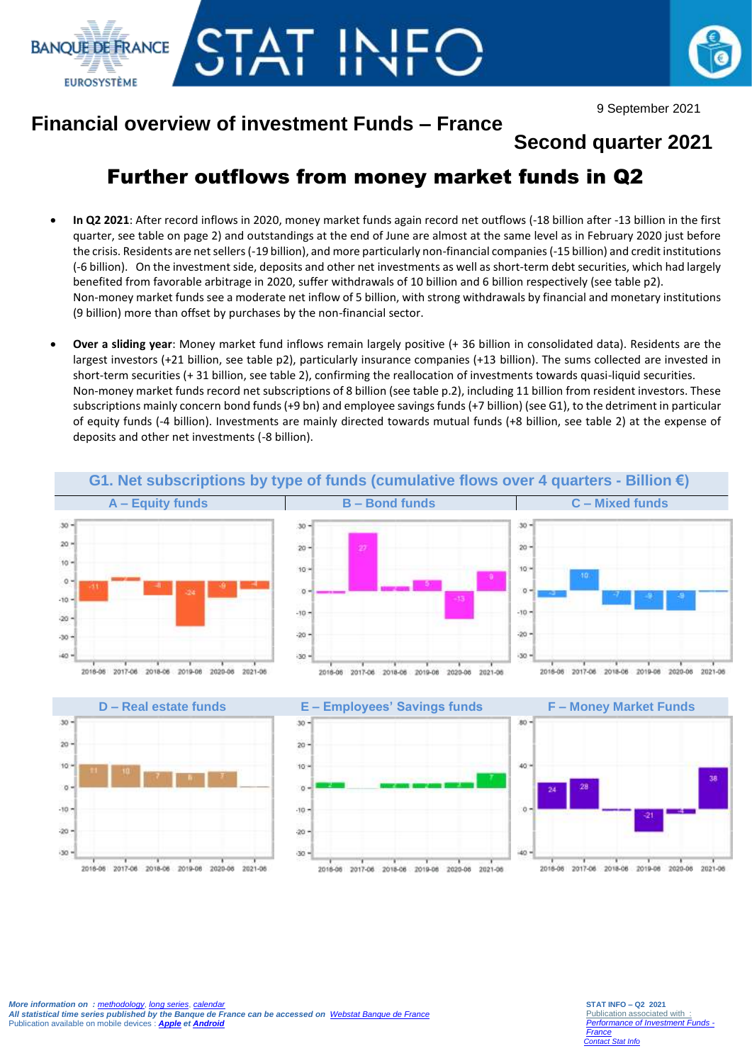



9 September 2021

# **Financial overview of investment Funds – France**

## **Second quarter 2021**

# Further outflows from money market funds in Q2

- **In Q2 2021**: After record inflows in 2020, money market funds again record net outflows (-18 billion after -13 billion in the first quarter, see table on page 2) and outstandings at the end of June are almost at the same level as in February 2020 just before the crisis. Residents are net sellers (-19 billion), and more particularly non-financial companies (-15 billion) and credit institutions (-6 billion). On the investment side, deposits and other net investments as well as short-term debt securities, which had largely benefited from favorable arbitrage in 2020, suffer withdrawals of 10 billion and 6 billion respectively (see table p2). Non-money market funds see a moderate net inflow of 5 billion, with strong withdrawals by financial and monetary institutions (9 billion) more than offset by purchases by the non-financial sector.
- **Over a sliding year**: Money market fund inflows remain largely positive (+ 36 billion in consolidated data). Residents are the largest investors (+21 billion, see table p2), particularly insurance companies (+13 billion). The sums collected are invested in short-term securities (+ 31 billion, see table 2), confirming the reallocation of investments towards quasi-liquid securities. Non-money market funds record net subscriptions of 8 billion (see table p.2), including 11 billion from resident investors. These subscriptions mainly concern bond funds (+9 bn) and employee savings funds (+7 billion) (see G1), to the detriment in particular of equity funds (-4 billion). Investments are mainly directed towards mutual funds (+8 billion, see table 2) at the expense of deposits and other net investments (-8 billion).